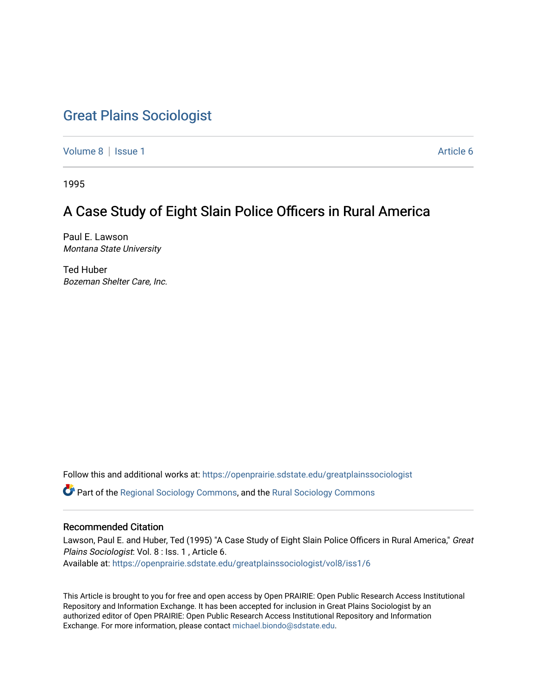# [Great Plains Sociologist](https://openprairie.sdstate.edu/greatplainssociologist)

[Volume 8](https://openprairie.sdstate.edu/greatplainssociologist/vol8) | [Issue 1](https://openprairie.sdstate.edu/greatplainssociologist/vol8/iss1) Article 6

1995

# A Case Study of Eight Slain Police Officers in Rural America

Paul E. Lawson Montana State University

Ted Huber Bozeman Shelter Care, Inc.

Follow this and additional works at: [https://openprairie.sdstate.edu/greatplainssociologist](https://openprairie.sdstate.edu/greatplainssociologist?utm_source=openprairie.sdstate.edu%2Fgreatplainssociologist%2Fvol8%2Fiss1%2F6&utm_medium=PDF&utm_campaign=PDFCoverPages) 

Part of the [Regional Sociology Commons](http://network.bepress.com/hgg/discipline/427?utm_source=openprairie.sdstate.edu%2Fgreatplainssociologist%2Fvol8%2Fiss1%2F6&utm_medium=PDF&utm_campaign=PDFCoverPages), and the [Rural Sociology Commons](http://network.bepress.com/hgg/discipline/428?utm_source=openprairie.sdstate.edu%2Fgreatplainssociologist%2Fvol8%2Fiss1%2F6&utm_medium=PDF&utm_campaign=PDFCoverPages) 

## Recommended Citation

Lawson, Paul E. and Huber, Ted (1995) "A Case Study of Eight Slain Police Officers in Rural America," Great Plains Sociologist: Vol. 8 : Iss. 1 , Article 6. Available at: [https://openprairie.sdstate.edu/greatplainssociologist/vol8/iss1/6](https://openprairie.sdstate.edu/greatplainssociologist/vol8/iss1/6?utm_source=openprairie.sdstate.edu%2Fgreatplainssociologist%2Fvol8%2Fiss1%2F6&utm_medium=PDF&utm_campaign=PDFCoverPages) 

This Article is brought to you for free and open access by Open PRAIRIE: Open Public Research Access Institutional Repository and Information Exchange. It has been accepted for inclusion in Great Plains Sociologist by an authorized editor of Open PRAIRIE: Open Public Research Access Institutional Repository and Information Exchange. For more information, please contact [michael.biondo@sdstate.edu.](mailto:michael.biondo@sdstate.edu)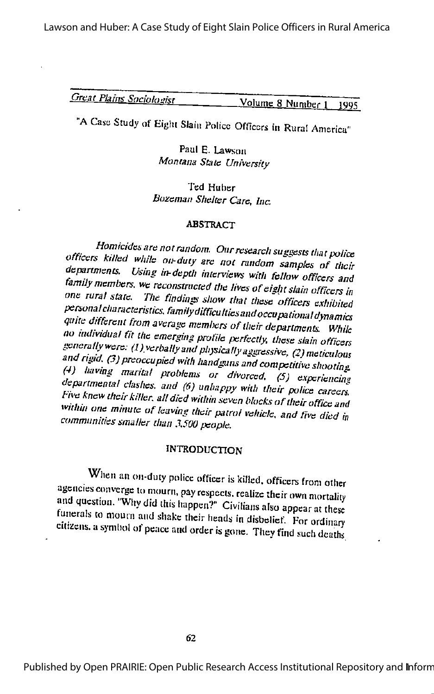Lawson and Huber: A Case Study of Eight Slain Police Officers in Rural America

| <b>Great Plains Sociologist</b> | $\frac{Volume}{M}$ 8 Number 1 1995 |  |
|---------------------------------|------------------------------------|--|
|                                 |                                    |  |

"A Case Study of Eight Slain Police Officers in Rural America"

Paul E. Lawson Montana State University

Ted Hubcr Bozeman Shelter Care, Inc.

#### **ABSTRACT**

Homicides are not random. Our research suggests that police<br>officers killed while on-duty are not random samples of their departments. Using in-depth interviews with fellow officers and family members, we reconstructed the lives of eight slain officers in one rural state. The finding show that there is  $\frac{dV}{dt}$ one rural state. The findings show that these officers exhibited<br>personal characteristics, family difficulties and occupational dynamics quite different from average members of their departments. While no individual fit the emerging profile perfectly, these slain officers<br>generally were: (1) verbally and physically aggressive, (2) meticulous and rigid. (3) preoccupied with handguns and competitive shooting.<br>(4) having marital problems or divorced. (5) experiencing departmental clashes, and (6) unhappy with their police careers.<br>Five knew their killer, all died within seven blocks of their office and<br>within one minute of leaving their patrol vehicle, and five died in communities smaller than 3.500 people.

## **INTRODUCTION**

When an on-duty police officer is killed, officers from other agencies converge to mourn, pay respects, realize their own mortality and question. "Why did this happen?" Civilians also appear at these funerals to mourn and shake their heads in disbelief. For ordinary citizens, a symbol of peace and order is gone. They find such deaths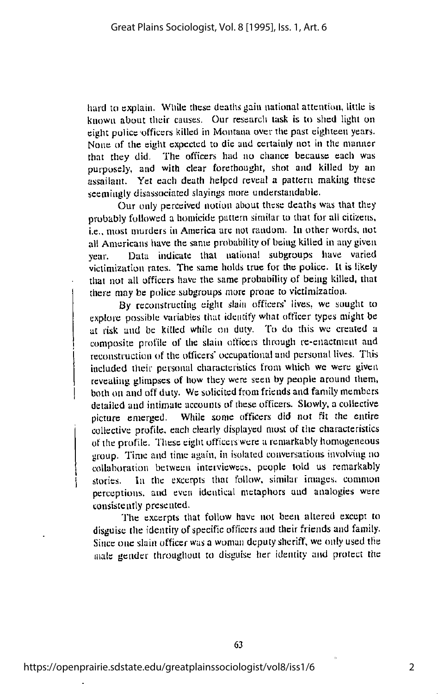hard to explain. While these deaths gain national attention, little is known about their causes. Our research task is to shed light on eight police officers killed in Montana over the past eighteen years. None of the eight expected to die and certainly not in the manner that they did. The officers had no chance because each was purposely, and with clear forethought, shot and killed by an assailant. Yet each death helped reveal a pattern making these seemingly disassociated slayings more understandable.

Our only perceived notion about these deaths was that they probably followed a homicide pattern similar to that for all citizens, i.e.. most murders in America are not random. In other words, not all Americans have the same probability of being killed in any given year. Data indicate that national subgroups have varied victimization rates. The same holds true for the police. It is likely that not all officers have the same probability of being killed, that there may be police subgroups more prone to victimization.

By reconstructing eight slain officers' lives, we sought to explore possible variables that identify what officer types might be at risk and be killed while on duty. To do this we created a composite profile of the slain officers through re-enactment and reconstruction of the officers' occupational and personal lives. This included their personal characteristics from which we were given revealing glimpses of how they were seen by people around them, both on and off duty. We solicited from friends and family members detailed and intimate accounts of these officers. Slowly, a collective picture emerged. While some officers did not fit the entire collective profile, each clearly displayed most of the characteristics of the profile. These eight officers were a remarkably homogeneous group. Time and time again, in isolated conversations involving no collaboration between interviewees, people told us remarkably stories. In the excerpts that follow, similar images, common perceptions, and even identical metaphors and analogies were consistently presented.

The excerpts that follow have not been altered except to disguise the identity of specific officers and their friends and family. Since one slain officer wasa woman deputy sheriff, we only used the male gender tlirougliout to disguise her identity and protect the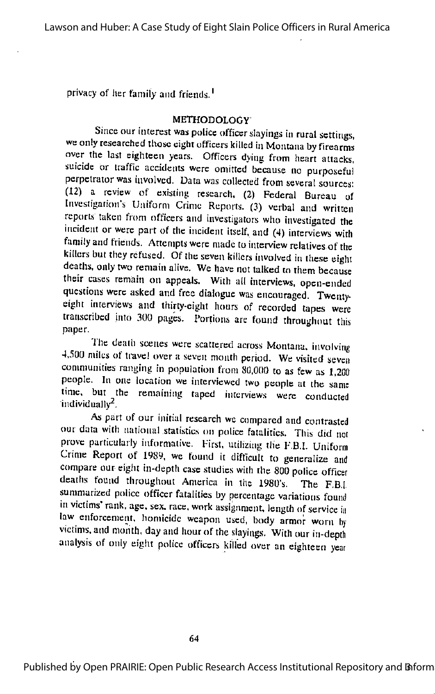privacy of her family and friends.<sup>1</sup>

#### METHODOLOGY

Since our interest was police officer slayings in rural settings, we only researclicd those eight officers killed in Montana by firearms over the last eighteen years. Officers dying from heart attacks, suicide or traffic accidents were omitted because no purposeful perpclraior was involved. Data was collected from several sources: (12) a review of existing research, (2) Federal Bureau of Investigation's Uniform Crime Reports. (3) verbal and written reports taken from officers and Investigators who Investigated the incident or were part of the incident itself, and (4) interviews with family and friends. Attempts were made to interview relatives of the killers but they refused. Of the seven killers involved in these eight deaths, only two remain alive. We have not talked to them because their cases remain on appeals. With all interviews, open-ended questions were asked and free dialogue was encouraged. Twenty eight interviews and thirty-eight hours of recorded tapes were transcribed into 300 pages. Portions arc found throughout this paper.

The death scenes were scattered across Montana, involving 4.500 miles of travel over a seven month period. We visited seven comniunities ranging in population from SO.OOO to as few as 1.200 people. In one location we interviewed two people at the same time, bur the remaining taped interviews were conducted individually $^2$ .

As part of our initial research we compared and contrasted our data with national statistics on police fatalities. This did not prove particularly informative. First, utilizing the F.B.I. Uniform Crime Report of 1989, we found it difficult to generalize and compare our eight in-depth case studies with the 800 police officer deaths found throughout America in the 1980's. The F.B.I. summarized police officer fatalities by percentage variations found in victims' rank, age, sex. race, work assignment, length of service in law enforcement, homicide weapon used, body armor worn by victims, and month, day and hour of the slayings. With our in-depth analysis of only eight police officers killed over an eighteen year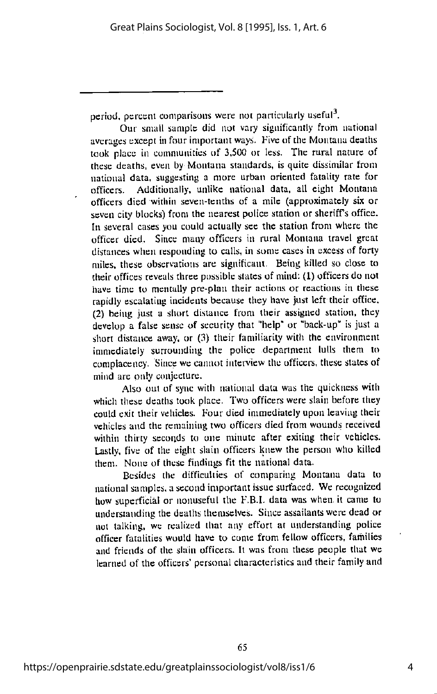period, percent comparisons were not particularly useful<sup>3</sup>.

Our small sample did not vary significantly from national averages except infour important ways. Five of the Montana deaths took place in communities of 3.500 or less. The rural nature of these deaths, even by Montana standards, is quite dissimilar from national data, suggesting a more urban oriented fatality rate for officers. Additionally, unlike national data, all eight Montana officers died wiihin seven-tenths of a mile (approximately six or seven city blocks) from the nearest police station or sheriff's office. In several cases you could actually sec the station from where the officer died. Since many officers in rural Montana travel great distances when responding to calls, in some cases in excess of forty miles, these observations are significant. Being killed so close to their offices reveals three possible states of mind: (1) officers do not have time to mentally pre-plan their actions or reactions in these rapidly escalating incidents because they have just left their office. (2) being just a short distance from their assigned station, they develop a false sense of security that "help" or "back-up" is just a short distance away, or (3) their familiarity with the environment immediately surrounding the police department lulls them to complacency. Since we cannot interview the officers, these states of mind arc only conjecture.

Also out of sync with national data was the quickness with which these deaths took place. Two officers were slain before they could exit their vehicles. Four died immediately upon leaving their vehicles and the remaining two officers died from wounds received within thirty seconds to one minute after exiting their vehicles. Lastly, five of the eight slain officers knew the person who killed them. None of these findings fit the national data.

Besides the difficulties of comparing Montana data to national samples, a second important issue surfaced. We recognized how superficial or nonuseful the F.B.I, data was when it came to understanding the deaths themselves. Since assailants were dead or not talking, wc realized that any effort at understanding police officer fatalities would have to come from fellow officers, families and friends of the slain officers. It was from these people that we learned of the officers' personal characteristics and their family and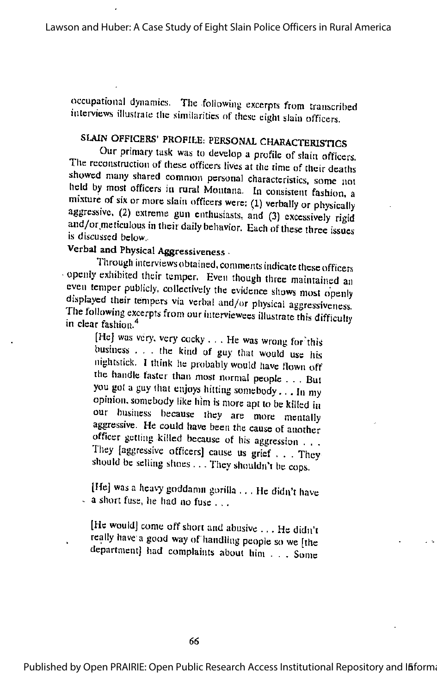occupational dynamics. The following excerpts from transcribed interviews illustrate the similarities of these eight slain officers.

# SLAIN OFFICERS' PROFILE: PERSONAL CHARACTERISTIGS

Our priniary task was to develop a profile of slain officers. The reconstruction of these officers lives at the time of their deaths showed many shared common personal characteristics, some not held by most officers in rural Montana. In consistent fashion, a mixture of six or more slain officers were: (1) verbally or physically aggressive, (2) extreme gun enthusiasts, and (3) excessively rigid and/or meticulous in their daily behavior. Each of these three issues is discussed below.

# Verbal and Physical Aggressiveness

Through interviews obtained, comments indicate these officers -openly exhibited their temper. Even though three maintained an even temper publicly, collectively the evidence shows most openly displayed their tempers via verbal and/or physical aggressiveness. The following excerpts from our interviewees illustrate this difficulture. in clear fashion. ' in clear fashion.<sup>4</sup> [He] was very, very cocky ... He was wrong for this

business . . . the kind of guy that would use his nightstick. I think he probably would have flown off the handle faster than most normal people . . . Bui you gol a guy (hat enjoys hitting somebody... In my opinion, somebody like liim is more apt to be killed in our business because they are more mentally aggressive. He could have been the cause of another officer getting killed because of his aggression . . . They [aggressive officers] cause us grief . . . They should be selling shoes . . . They shouldn't be cops.

[He] was a heavy goddamn gorilla ... He didn't have  $\sim$  a short fuse, he had no fuse . ..

[He would] come off short and abusive ... He didn't really have agood way of handling people so we [the department] had complaints about him . . . Some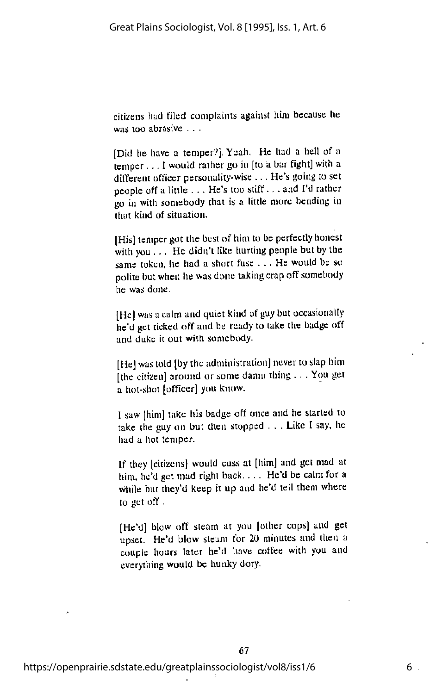citizens had filed complaints against him because he was too abrasive . . .

[Did he have a temper?] Yeah. He had a hell of a temper... 1would rather go in [to a barfight] with a different officer personality-wise ... He's going to set people off a little . . . He's too stiff. . . and I'd rather go in with somebody that is a little more bending in that kind of situation.

[His] temper got the best of him to be perfectly honest with you  $\ldots$ . He didn't like hurting people but by the same token, he had a short fuse ... He would be so polite but when he was done taking crap off somebody he was done.

[He] was acalm and quiet kind of guy but occasionally he'd getticked off and be ready to take the badge off and duke it out with somebody.

[He] was told [by the administration] never to slap him [the citizen] around or some damn thing . . . You get a hot-shot [officer] you know.

I saw [him] take his badge off once and he started to take the guy on but then stopped . . . Like I say, he had a hot temper.

If they [citizens] would cuss at [him] and gel mad at him, he'd get mad right back.... He'd be calm for a while but they'd keep it up and he'd tell them where to get off.

[He'd] blow off steam at you [other cops] and get upset. He'd blow steam for 20 minutes and then a couple hours later he'd have coffee with you and cverytliing would be hunky dory.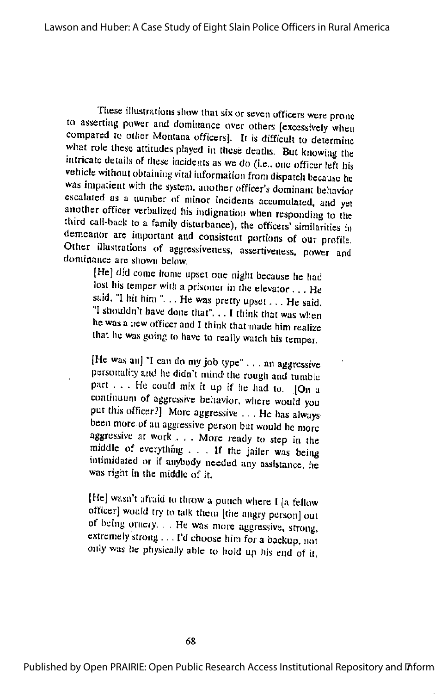These illustrations show that six or seven officers were prone to asserting power and dominance over others [excessively when compared to oiher Montana officers]. It is difficult to determine what role these attitudes played in these deaths. But knowing the intricate details of these incidents as we do (I.e., one officer left his vehicle without obtaining vital information from dispatch because he was impatient with the system, another officer's dominant behavior escalated as <sup>a</sup> number of minor incidents accumulated, and yet another officer verbalized his indigjiation when responding to the third call-back to a family disturbance), the officers' similarities in demeanor are important and consistent portions of our profile. Other illustrations of aggressiveness, assertiveness. power and dominance are shown below.

[He] did come home upset one night because he had lost his temper with a prisoner in the elevator... He said. "I hit him ". .. He was pretty upset... He said, "I shouldn't have done that". .. I think that was when he was a new officer and I think that made him realize that he was going to have to really watch his temper.

[He was an] "I can do my job type" ... an aggressive personality and he didn't mind the rough and tumble part . . . He could mix it up if he had to. [On a continuum of aggressive behavior, where would you put this officer?] More aggressive ... He has always been more of an aggressive person but would be more aggressive at work . , . More ready to step in the middle of everything ... If the jailer was being ummidated or if anybody needed any assistance, he was right in the middle of it.

[He] wasn't afraid to throw a punch where I [a fellow officer] would try to talk them [the angry person] out of being ornery. . . He was more aggressive, strong, extremely strong . . . I'd choose him for a backup, not only was he physically able to hold up his cud of it,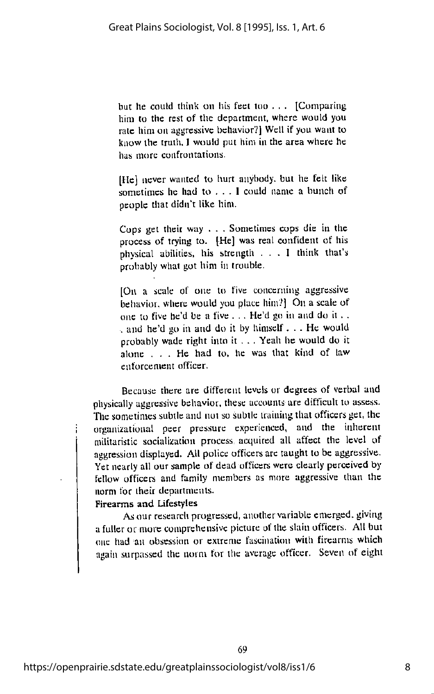but he could think on his feel too . . . [Comparing him to the rest of the department, where would you rale him on aggressive behavior?) Well if you want to know the truth, I would put him in the area where he has more confrontations.

[He] never wanted to hurt anybody, but he felt like sometimes he had to . . . I could name a bunch of people that didn't like him.

Cops gel theit way . . . Sometimes cops die in the process of trying to. [He] was real confident of his physical abilities, his strength ... <sup>I</sup> think that's probably what got him in trouble.

[Oi\ a scale of one to five concerning aggressive behavior, where would you place him?] On a scale of one to five he'd be a five . . . He'd go in and do it . . . and he'd go in and do it by himself... He would probably wade right into it . . . Yeah he would do it alone ... He had to. he was that kind of law enforcement officer.

Because there are different levels or degrees of verbal and physically aggressive behavior, these accounts arc difficult to assess. Tlie sometimes subtle and not so subtle iraining that officers get, the organisational peer pressure experienced, and the inherent militaristic socialisation process acquired all affect the level of aggression displayed. All police officers arc taught to be aggressive. Yet nearly all our sample of dead officers were clearly perceived by fellow officers and family members as more aggressive than the norm for their departments.

### Firearms and Lifestyles

Asour research progressed, another variable emerged, giving a fuller or more comprehensive picture ot the slain officers. All but one had an obsession or extreme fascination with firearms which again surpassed the norm for the average officer. Seven of eight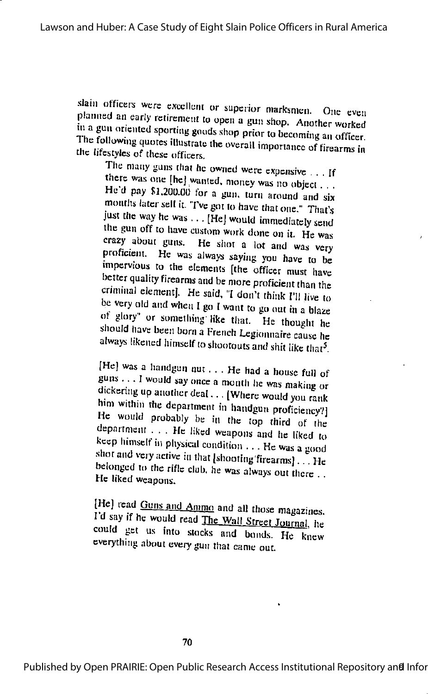slain officers were excellent or superior marksmen. One even planned an early retirement to open a gun shop. Another worked in a gun oriented sporting goods shop prior to becoming an officer. The following quotes illustrate the overall importance of firearms in the lifestyles of these officers.

The many guns that he owned were expensive . . . If<br>there was one [he] wanted, money was no object . . . He'd pay \$1,200.00 for a gun. turn around and six months later sell it. "I've got to have that one." That's just the way he was . . . [He] would immediately send the gun off to have custom work done on it. He was crazy about guns. He shot a lot and was very proficient. He was always saying you have to be impervious to the elements [the officer must have better quality firearms and be more proficient than the criminal element]. He said, "I don't think I'll live to be very old and when I go I want to go out in a blaze<br>of glory" or something like that. He thought he should have been born aFrench Legionnaire cause he always likened himself to shootouts and shit like that<sup>5</sup>.

[He] was a handgun nut ... He had a house full of guns ... Iwould say once amonth he was making or dickering up another deal... [Where would you rank him within the department in handgun proficiency?] He would probably be in the top third of the department . . . He liked weapons and he liked to keep himself in physical condition  $\dots$  He was a good shot and very active in that [shooting firearms]  $\ldots$  He belonged to the rifle club, he was always out there  $\dots$ He liked weapons.

[He] read Guns and Ammo and all those magazines. I'd say if he would read The Wall Street Journal, he could get us into stocks and bonds. He knew everything about every gun that came out.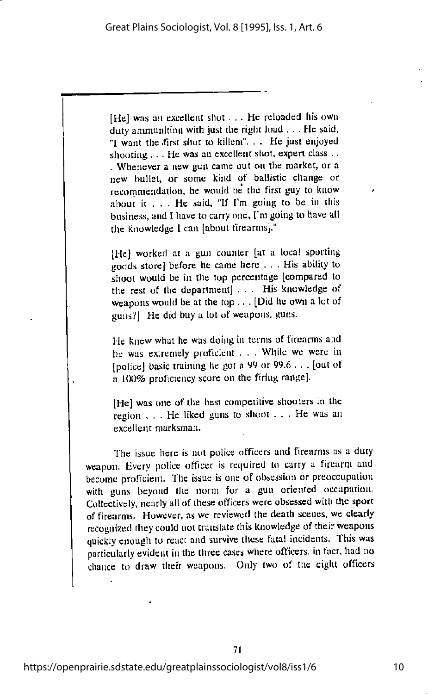[He] was an excellent shot  $\ldots$  He reloaded his own duty ammunition with just the right load . . . He said, "I want the first shot to killem"... He just enjoyed shooting  $\dots$  He was an excellent shot, expert class  $\dots$ . Whenever a new gun came out on the market, or a new bullet, or some kind of ballistic change or recommendation, he would be the first guy to know / about it  $\ldots$ . He said, "If I'm going to be in this business, and I have to carry one, I'm going to have all the knowledge 1 can [about firearms].'

[He] worked at a gun counter [at a local sporting goods store] before he came here . . . His ability to shoot would be in the top percentage [compared to the rest of the department] ... His knowledge of weapons would be at the top . . . [Did he own a lot of guns?] He did buya lot of weapons, guns.

He knew what he was doing in terms of firearms and he was extremely proficient . . . While we were in [police] basic training he got a 99 or 99.6  $\ldots$  [out of a 100% proficiency score on the firing range].

[He] was one of the best competitive shooters in the region ... He liked guns to shoot ... He was an excellent marksman.

The issue here is not police officers and firearms as a duty weapon. Every police officer is required to carry a firearm and become proficient. The issue is one of obsession or preoccupation with guns beyond the norm for a gun oriented occupation. Collectively, nearly all of these officers were obsessed witli the sport of firearms. However, as we reviewed the death scenes, we clearly recognized they could not translate this knowledge of their weapons quickly enough to react and survive these fatal incidents. This was particularly evident in the three cases where officers, in fact, had no chance to draw their weapons. Only two of the eight officers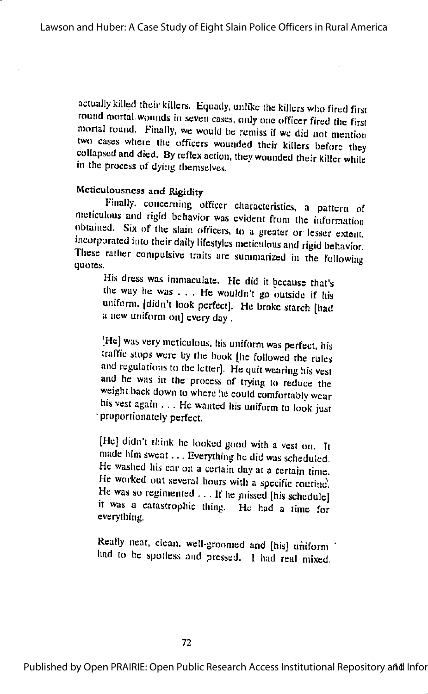actually killed their killers. Equally, unlike the killers who fired first round mortal wounds in seven cases, only one officer fired the first mortal round. Finally, we would be remiss if we did not mention two cases where the officers wounded their killers before they collapsed and died. By reflex action, they wounded their killer while in the process of dying themselves.

# Mcticulousncss and Rigidity

Finally, concerning officer characteristics, a pattern of meticulous and rigid behavior was evident from the information obtained. Six of the slain officers, to a greater or lesser extent. incorporated tnto their daily lifestyles meticulous and rigid behavior. These rather compulsive traits are summarized in the following  $\mathbf{q}$ uotes.  $\mathbf{q}$ 

His dress was immaculate. He did it because that's die way he was . . . He wouldn't go outside if his uniform, (didn't look perfect). He broke starch [had a new uniform on] every day .

[He] was very meticulous, his uniform was perfect, his traffic slops were by the book [he followed the rules and regulations to the letter]. He quit wearing his vest and he was in the process of trying to reduce the weight back down to wliere he could comfortably wear his vest again ... He wanted his uniform to look just •proportionately perfect.

[He] didn't think he looked good with a vest on. It made him sweat... Everything he did was scheduled. He washed his car on a certain day at a certain time. He worked out several hours with a specific routine. He was so regimented ... If he missed [his schedule] it was a catastrophic thing. He had a time for everything.

Really neat, clean, well-groomed and [his] uniform had to be spotless and pressed. 1 had real mixed,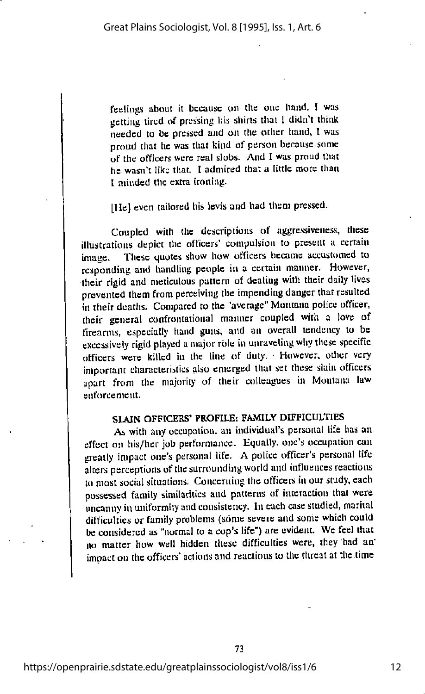feelings about it because on the one hand. I was getting tired of pressing his shirts that I didn't think needed to be pressed and on the other hand, 1 was proud that he was that kind of person because sonic of the officers were real slobs. And I was proud that he wasn't like that. I admired that a little more than I minded the extra ironing.

[He] even tailored his levis and had them pressed.

Coupled with the descriptions of aggressiveness, these illustrations depict the officers' compulsion to present a certain image. These quotes show how officers became accustomed to responding and handling people in a certain manner. However, their rigid and meticulous pattern of dealing with their daily lives prevented them from perceiving the impending danger that resulted in their deaths. Compared to the "average" Montana police officer, their general confroniational manner coupled with a love of firearms, especially hand guns, and an overall tendency to be excessively rigid played amajor role in unraveling why these specific officers were killed in the line of duty. However, other very important characteristics also emerged that set these slain officers apart from the majority of their colleagues in Montana law enforcement.

#### SLAIN OFFICERS\* PROFILE; FAMILY DIFFICULTIES

As with anyoccupation, an individual's personal life has an effect on his/her job performance. Equally, one's occupation can greatly impact one's personal life. A police officer's personal life alters perceptions of the surrounding world and influences reactions to most social situations. Concerning the officers in our study, each possessed family similarities and patterns of inieraciion that were uncanny in uniformity and consistency. In each case studied, marital difficulties or family problems (some severe and some which could be considered as "normal to a cop's life") are evident. We feel that no matter how well hidden these difficulties were, they had an' impact on the officers' actions and reactions to the threat at the time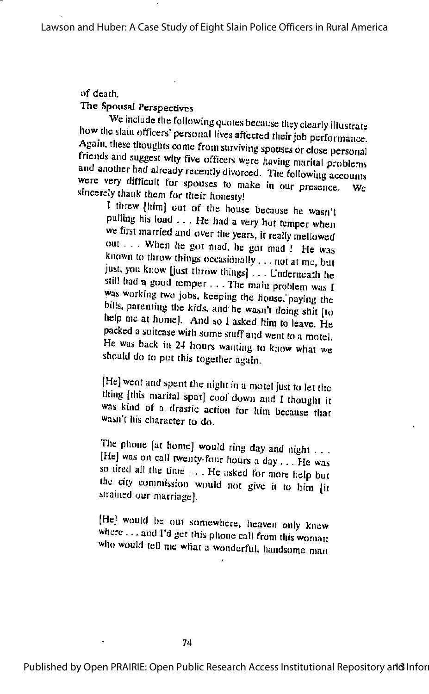# of death.

The Spousal Perspectives<br>We include the following quotes because they clearly illustrate how the slain officers' personal lives affected their job performance.<br>Again, these thoughts come from surviving spouses or close personal friends and suggest why five officers were having marital problems and another had already recently divorced. The following accounts were very difficult for spouses to make in our presence. We sincerely thank them for their honesty!

I threw [hinij out of the house because he wasn't pulling his load . . . He had a very hot temper when we first married and over the years, it really mellowed out . . . When he got mad, he got mad ! He was known to throw things occasionally  $\dots$  not at me, but just, you know [just throw things] . . . Underneath he still had a good temper... The main problem was I was working two jobs, keeping the house, paying the bills, pareniing the kids, and he wasn't doing shit Iio help me at home]. And so I asked him to leave. He packed a suitcase with some stuff and went to a motel. He was back in 24 hours wanting to know what we should do to put this together again.

[He] went and spent the night in amotel just to let the thing [this marital spat] cool down and I thought it was kind of a drastic action for him because that wasn't his character to do.

The phone [at home] would ring day and night  $\dots$ [He] was on call twenty-four hours a day ... He was so tired all the time . . . He asked for more help but the city commission would not give it to him [it strained our marriage].

[He] would be out somewhere, heaven only knew where ... and I'd get this phone call from this woman who would tell me what a wonderful, handsome man

Published by Open PRAIRIE: Open Public Research Access Institutional Repository and Infor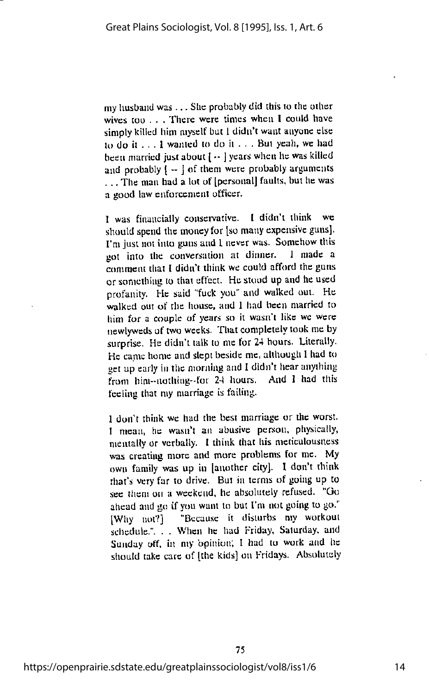my husband was  $\dots$  She probably did this to the other wives too . - . There were times when I could have simply killed him myself but I didn't want anyone else to do it ... <sup>1</sup> wauled to do it . . . But yeah, we had been married just about  $[-]$  years when he was killed and probably  $\left\{ -\right\}$  of them were probably arguments ... The man had a lot of [personal] faults, but he was a good law cuforccnient officer.

1 was financially conservative. [ didn't think we should spend the money for [so many expensive guns). I'm just not into guns and I never was. Somehow this not into the conversation at dinner. I made a got into the conversation at dinner. comment that I didn't think we could afford the guns or something to that effect. Hestood up and he used profanity. He said "fuck you" and walked out. He walked out of the house, and 1 had been married to him for a couple of years so it wasn't like we were newlyweds of two weeks. Thatcompletely look me by surprise. He didn't talk to me for 24 hours. Literally. He came home and slept beside me, although 1had to gel up early in the morning and 1didn't hear anything from him-notliing-for 24 hours. And I had this feeling that my marriage is failing.

1 don't think we had the best marriage or the worst. I mean, he wasn't an abusive person, physically, mentally or verbally. I think that his meticulousness was creating more and more problems for me. My own family was up in [another city]. I don't think that's very far to drive. Bui in terms of going up to see them on a weekend, he absolutely refused. "Go ahead and go if you want to but I'm not going to go." [Why not?] "Because it disturbs my workout schedule.". . . When he had Friday, Saturday, and Sunday off, in my opinion; I had to work and he should take care of [the kids] on Fridays. Absolutely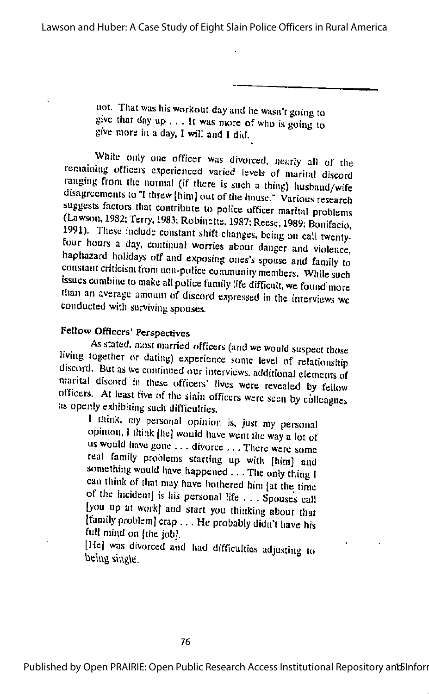not. That was his workout day and he wasn't going to give that day up ... It was more of who is going to give more in a day, I will and I did.

While only one officer was divorced, nearly all of the remaining officers experienced varied levels of marital discord ranging from the normal (if there is such a thing) husband/wife disagreements to "I threw [himj out of the house." Various research suggests factors that contribute to police officer marital problems (Lawson, 1982; Terry, 1983; Robinette, 1987; Reese, 1989; Bonifacio, 1991). These include constant shift changes, being on call twentyfour hours a day. continual worries about danger and violence, haphazard holidays off and exposing oiics's spouse and family to constant criticism from non-police community members. While such issues combine to make all police family life difficult, we found more than an average anumnt of discord expressed In the interviews we conducted with surviving spouses.

## Fellow Officers' Perspectives

As stated, most married officers (and we would suspect those living together or dating) experience some level of relationship discord. But as we continued our interviews, additional elements of marital discord in these officers' lives were revealed by fellow officers. At least five of the slain officers were seen by colleagues as openly exhibiting such difficulties.

I think. my personal opinion is, just my personal opinion, I think  $[he]$  would have went the way a lot of us would have gone ... divorce .. . There were some real family problems starting up with [him] and something would have happened ... The only thing I can think of that may have bothered him [at the time of the incident] is iiis personal life . . . Spouses call [you up at work] and start you thinking about that [tamily problem] crap . . . He probably didn't have his full mind on lihe jobl.

[He] was divorced and had difficulties adjusting to being single.  $\mathcal{L} = \{v_1, v_2, \ldots, v_n\}$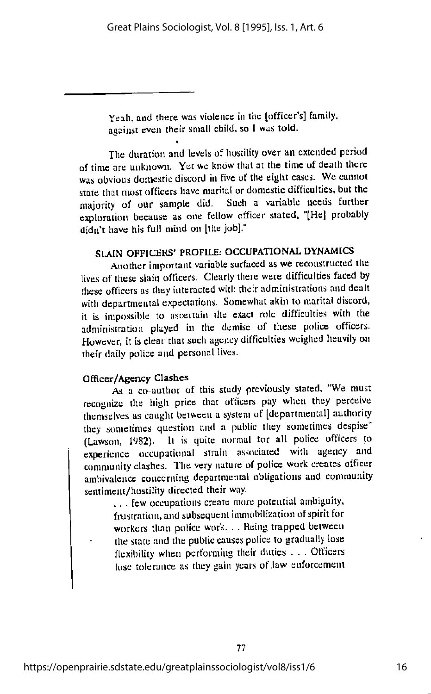Yeah, and there was violence in the lofficer's] family, against even their small child, so I was told.

The duration and levels of hostility over an extended period of time are unknown. Yet we know that at the time of death there was obvious domestic discord in five of the eight cases. We cannot state that most officers have marital or domestic difficulties, but the majority of our sample did. Such a variable needs further exploration because as one fellow officer stated, "Hel probably didn't have his full mind on [the job]."

# SLAIN OFFICERS' PROFILE: OCCUPATIONAL DYNAMICS

Another important variable surfaced as we reconstructed the lives of these slain officers. Clearly there were difficulties faced by these officers as they interacted with their administrations and dealt with departmental expectations. Somewhat akin to marital discord, it is impossible to ascertain the exact role difficulties with the administration played in the demise of these police officers. However, it is clear that sucli agency difficulties weighed heavily on their dally police and personal lives.

#### Officer/Agency Clashes

As a co-author of this study previously stated. "We must recognize the high price that officers pay when they perceive themselves as caught between a system of [departmental] authority they sometimes question and a public they sometimes despise" (Lawson, 1982). It is quite normal for all police officers to experience occupational strain associated with agency and comnmniiy clashes. The very nature of police work creates officer ambivalence concerning departmental obligations and community sentiment/hostility directed their way.

.. . few occupations create more potential ambiguity, frustration, and subsequent immobilization of spirit for workers than police work. . . Being trapped between the state and the public causes police to gradually lose flexibility when performing their duties . . . Officers lose tolerance as they gain years of law enforcement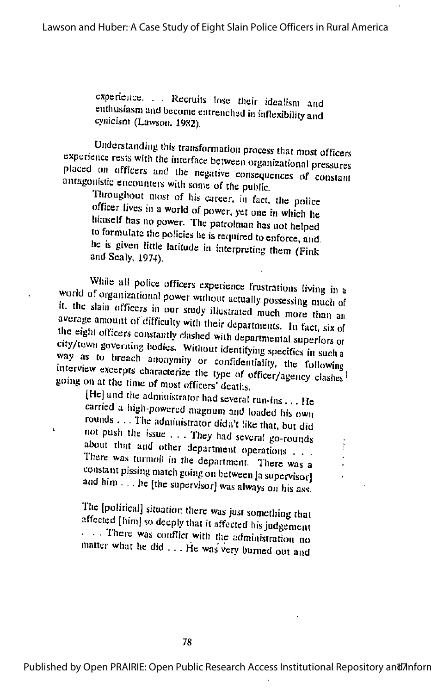experience. . . Recruits lose their idealism and enthusiasm and become entrenched in inflexibility and cynicism (Lawson, 1982).

Understanding this transformation process that most officers<br>experience rests with the interface between organizational pressures placed on officers and the negative consequences of constant antagonistic encounters with some of the public.

Throughout most of his career, in fact, the police officer lives in a world of power, yet one in which he himself has no power. The patrolman has not helped to formulate the policies he is required to enforce, and. he is given little latitude in interpreting them (Fink and Sealy, 1974).

While all police officers experience frustrations living in a<br>world of organizational power without actually possessing much of it. the slain officers in our study illustrated much more than an average amount of difficulty with their departments. In fact, six of the eight officers constantly clashed with departmental superiors or city/town governing bodies. Without identifying specifics in such a way as to breach anonymity or confidentiality, the following<br>interview excerpts characterize the type of officer/agency clashes interview excerpts characterize the type of officer/agency clashes!<br>going on at the time of most officers' deaths.

IHc] and the administrator had several run-ins ... He carried a high-powered magnum and loaded his own rounds . . . The administrator didn't like that, but did not push the issue . . . They had several go-rounds about that and other department operations ...<br>There was turmoil in the department. There was a constant pissing match going on between [a supervisor] and him ... he [the supervisor] was always on his ass.

The [political] situation there was just something that affected [him] so deeply that it affected his judgement • • . Ihere was conflict with the administration no matter what he did . . . He was very burned out and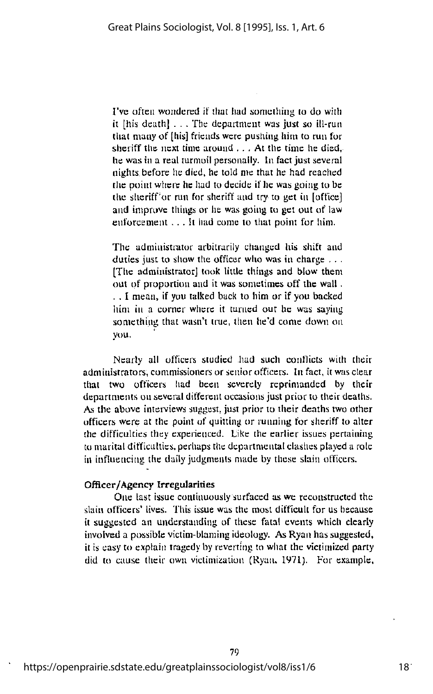I've often wondered if that had something to do with it [his death] . . . The department was just so ill-run that many of [liis] friends were pusliing him to run for sheriff the next time around  $\ldots$ . At the time he died, he was in a real turmoil personally. In fact just several nights before he died, he told me that he had reached the point where he had to decide if he was going to be the sheriff or run for sheriff and try to get in [office] and improve things or he was going to get out of law enforcement  $\dots$  It had come to that point for him.

The administrator arbitrarily changed his shift and duties just to show the officer who was in charge  $\dots$ [The administrator] look little things and blow them out of proportion and it was sometimes off the wall . .. I mean, if you talked back to him or if you backed him in a corner where it turned out he was saying something that wasn't true, then he'd come down on you.

Nearly all officers studied had such conflicts with their administrators, commissioners or senior officers. In fact, it was clear that two officers had been severely reprimanded by their departments on several different occasions just prior to their deaths. As the above interviews suggest, just prior to their deaths two other officers were at the point of quitting or running for sheriff to alter the difficulties they experienced. Like the earlier issues pertaining to marital difficulties, perhaps the departmental clasties played a role in influencing the daily judgments made by these slain officers.

#### Officer/Agency Irregularities

One last issue continuously surfaced as we reconstructed the slain officers' lives. This issue was the most difficult for us because it suggested an understanding of these fatal events which clearly involved a possible victim-blaming ideology. As Ryan has suggested, it is easy to explain tragedy by reverting to what the victimized party did to cause their own victimization (Ryan, 1971). For example,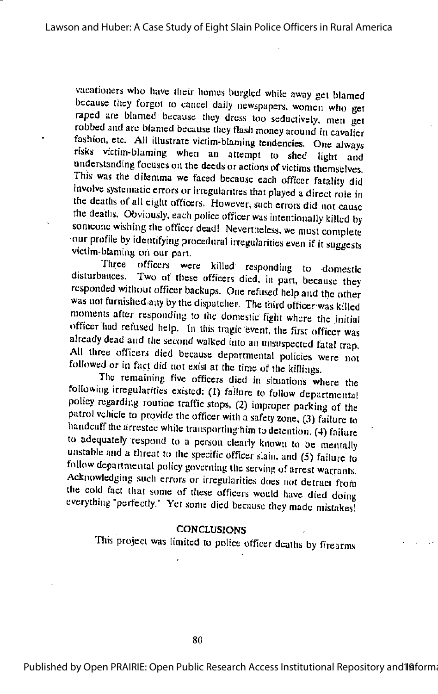vacationers wlio liavc ilicir homes burgled while away get blamed because they forgot to cancel daily newspapers, women who get raped arc blamed because they dress too seductively, men get robbed and are blamed because they flash money around in cavalier fashion, etc. All illustrate victim-blaming tendencies. One always risks victim-blaming when an attempt to shed liglit and understanding focuses on the deeds or actions of victims themselves. This was the dilemma we faced because each officer fatality did involve systematic errors or irregularities that played a direct role in the deaths of all eight officers. However, such errors did not cause the deaths. Obviously, each police officer was intentionally killed by someone wishing the officer dead! Nevertheless, we must complete our profile by identifying procedural irregularities even if it suggests victim-blaming on our part.

Jhree officers were killed responding to domestic disturbances. Two of these officers died, in pan, because they responded without officer backups. One refused help and the other was not funnshed.any by the dispatcher, The third officer was killed moments after responding to the domestic fight where the initial officer had refused help. In this tragic event, the first officer was already dead and the second walked into an unsuspected fatal trap. All three officers died because departmental policies were not followed or in fact did not exist at the time of the killings.

The remaining five officers died in situations where the following irregularities existed: (1) failure to follow departmental policy regarding routine traffic stops, (2) improper parking of the patrol vehicle to provide the officer with asafety zone, (3) failure to handcuff the arrestee while transporting him to detention. (4) failure to adequately respond to a person clearly known to be mentally unstable and a threat to the specific officer slain, and (5) failure to follow departmental policy governing the serving of arrest warrants. Acknowledging such errors or irregularities does not detract from the cold fact that some of these officers would have died doing everything "perfectly." Yet some died because they made mistakes!

#### **CONCLUSIONS**

This project was limited to police officer deaths by firearms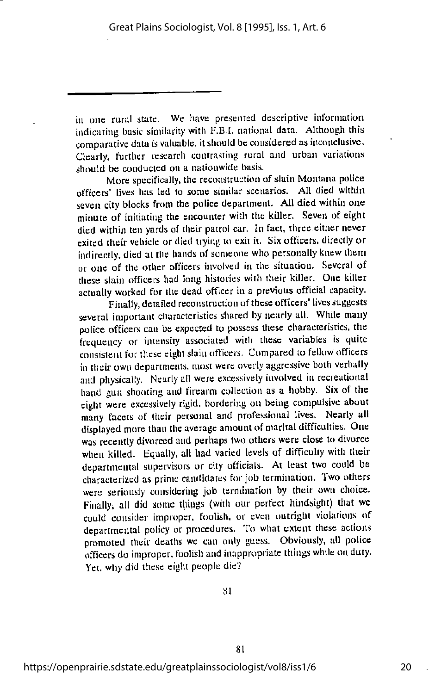in one rural state. We have presented descriptive information indicating basic similarity with F.B.I, national data. Although this  $comparative$  data is valuable, it should be considered as inconclusive. Clearly, further research contrasting rural and urban variations should be conducted on a nationwide basis.

More specifically, the reconstruction of slain Montana police officers' lives has led to some similar scenarios. All died within seven city blocks from the police department. All died within one minute of initiating the encounter with the killer. Seven of eight died within ten yards of their patrol car. In fact, three citlicr never exited their vehicle or died trying to exit it. Six officers, directly or indirectly, died at the hands of someone who personally knew them or one of tlie other officers involved in the situation. Several of these slain officers had long histories with their killer. One killer actually worked for the dead officer in a previous official capacity.

Finally, detailed reconstruction of these officers' lives suggests several important characteristics shared by nearly all. While many police officers can be expected to possess these characteristics, the frequency or intensity associated with these variables is quite consistent for these eight slain officers. Compared to fellow officers in their own departments, most were overly aggressive boili verbally and physically. Nearly all were excessively involved in recreational hand gun shooting and firearm collection as a hobby. Six of the eight were excessively rigid, bordering on being compulsive about many facets of their personal and professional lives. Nearly all displayed more than the average amount of marital difficulties. One was recently divorced and perhaps two others were close to divorce when killed. Equally, all had varied levels of difficulty with their departmental supervisors or city officials. At least two could be characterized as prime candidates for job termination. Two others were seriously considering job termination by their own choice. Finally, all did some things (with our perfect hindsight) that we could consider improper, foolish, or even outright violations of departmental policy or procedures. To what extent these actions promoted their deaths we can only guess. Obviously, all police officers do improper, foolish and inappropriate things while onduty. Yet. why did these eight people die?

SI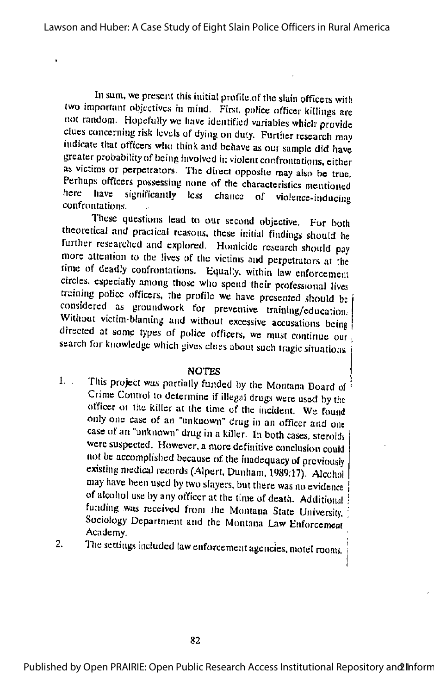In sum, we present this initial profile of the slain officers with two important objectives in mind. First, police officer killings are not random. Hopefully we have identified variables which provide clues concerning risk levels of dying on duty. Further research may indicate that officers who think and behave as our sample did have greater probability of being involved in violent confrontations, either as victims or perpetrators. The direct opposite may also be true. Perhaps officers possessing none of the characteristics mentioned here have significantly less chance of violence-inducing confrontations.

These questions lead to our second objective. For both theoretical and practical reasons, these initial findings should be further researched and explored. Homicide research should pay more attention to the lives of the victims and perpetrators at the time of deadly confrontations. Equally, within law enforcemem circles, especially among rhose who spend their professional lives training police officers, the profile we have presented should be ( considered as groundwork for preventive training/education. Without victim-blaming and without excessive accusations being directed at some types of police officers, we must continue our search for knowledge which gives clues about such tragic situations.

#### NOTES

- 1. This project was partially funded by the Montana Board of Crinte Control to determine if illegal drugs were used by the officer or the killer at the time of the incident. We found only one case of an "unknown" drug in an officer and one case of an "unknown" drug in a killer. In both cases, steroids were suspected. However, a more definitive conclusion could tiot be accomplished because of the inadequacy of previously existing medical records (Alpert, Dunham, 1989;17). Alcohol may have been used by two slayers, but there was no evidence of alcohol use by any officer at the time of death. Additional funding was received from the Montana State University, Sociology Department and the Montana Law Enforcement Academy.
- 2. The settings included law enforcement agencies, motel rooms,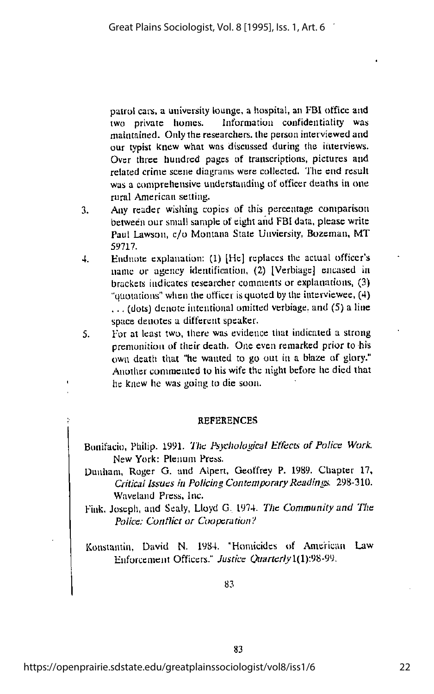patrol cars, a university lounge, a hospital, an FBI office and<br>two private homes. Information confidentiality was Information confidentiality was maintained. Only the researchers, the person interviewed and our typist knew what was discussed during the interviews. Over three hundred pages of transcriptions, pictures and related crime scene diagrams were collected. The end result was a comprehensive understanding of officer deaths in one rural American setting.

- 3. Any reader wishing copies of this percentage comparison between our small sample of eight and FBI data, please write Paul Lawson, c/o Montana State Unviersity, Bozeman, MT 59717.
- 4. Kndnote explanation; (1) [He] replaces the actual officer's name or agency identification, (2) [Verbiage] encased in brackets indicates researcher comments or explanations, (3) "quotations" when the officer is quoted by the interviewee,  $(4)$ . .. (dots) denote intentional omitted verbiage, and (5) a line space denotes a different speaker.
- 5. For at least two, there was evidence that indicated a strong premonition of their death. One even remarked prior to his own death that "he wanted to go out in a blaze of glory." Another commented to his wife the night before he died that he knew he was going to die soon.

#### **REFERENCES**

Bonifacio, Philip. 1991. The Psychological Effects of Police Work. New York: Plenum Press.

- Dunham, Roger G. and Alpert, Geoffrey P. 1989. Chapter 17, Critical Issues in Policing Contemporary Readings. 298-310. Wavelaiid Press, Inc.
- Fink. Joseph, and Sealy, Lloyd G. 1974. The Community and The Police: Conflict or Cooperation?

Konstauiin. David N- 1984. "Homicides of American Law Enforcement Officers." Justice Quarterly1(1):98-99.